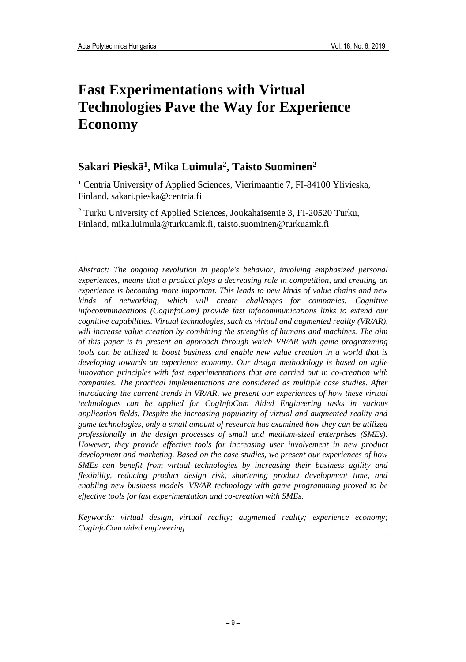# **Fast Experimentations with Virtual Technologies Pave the Way for Experience Economy**

### **Sakari Pieskä<sup>1</sup> , Mika Luimula<sup>2</sup> , Taisto Suominen<sup>2</sup>**

<sup>1</sup> Centria University of Applied Sciences, Vierimaantie 7, FI-84100 Ylivieska, Finland, sakari.pieska@centria.fi

<sup>2</sup> Turku University of Applied Sciences, Joukahaisentie 3, FI-20520 Turku, Finland, mika.luimula@turkuamk.fi, taisto.suominen@turkuamk.fi

*Abstract: The ongoing revolution in people's behavior, involving emphasized personal experiences, means that a product plays a decreasing role in competition, and creating an experience is becoming more important. This leads to new kinds of value chains and new kinds of networking, which will create challenges for companies. Cognitive infocomminacations (CogInfoCom) provide fast infocommunications links to extend our cognitive capabilities. Virtual technologies, such as virtual and augmented reality (VR/AR), will increase value creation by combining the strengths of humans and machines. The aim of this paper is to present an approach through which VR/AR with game programming tools can be utilized to boost business and enable new value creation in a world that is developing towards an experience economy. Our design methodology is based on agile innovation principles with fast experimentations that are carried out in co-creation with companies. The practical implementations are considered as multiple case studies. After introducing the current trends in VR/AR, we present our experiences of how these virtual technologies can be applied for CogInfoCom Aided Engineering tasks in various application fields. Despite the increasing popularity of virtual and augmented reality and game technologies, only a small amount of research has examined how they can be utilized professionally in the design processes of small and medium-sized enterprises (SMEs). However, they provide effective tools for increasing user involvement in new product development and marketing. Based on the case studies, we present our experiences of how SMEs can benefit from virtual technologies by increasing their business agility and flexibility, reducing product design risk, shortening product development time, and enabling new business models. VR/AR technology with game programming proved to be effective tools for fast experimentation and co-creation with SMEs.*

*Keywords: virtual design, virtual reality; augmented reality; experience economy; CogInfoCom aided engineering*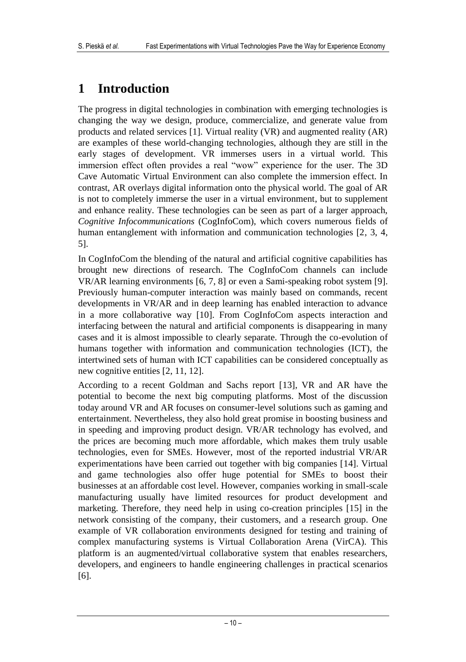## **1 Introduction**

The progress in digital technologies in combination with emerging technologies is changing the way we design, produce, commercialize, and generate value from products and related services [1]. Virtual reality (VR) and augmented reality (AR) are examples of these world-changing technologies, although they are still in the early stages of development. VR immerses users in a virtual world. This immersion effect often provides a real "wow" experience for the user. The 3D Cave Automatic Virtual Environment can also complete the immersion effect. In contrast, AR overlays digital information onto the physical world. The goal of AR is not to completely immerse the user in a virtual environment, but to supplement and enhance reality. These technologies can be seen as part of a larger approach, *Cognitive Infocommunications* (CogInfoCom), which covers numerous fields of human entanglement with information and communication technologies [2, 3, 4, 5].

In CogInfoCom the blending of the natural and artificial cognitive capabilities has brought new directions of research. The CogInfoCom channels can include VR/AR learning environments [6, 7, 8] or even a Sami-speaking robot system [9]. Previously human-computer interaction was mainly based on commands, recent developments in VR/AR and in deep learning has enabled interaction to advance in a more collaborative way [10]. From CogInfoCom aspects interaction and interfacing between the natural and artificial components is disappearing in many cases and it is almost impossible to clearly separate. Through the co-evolution of humans together with information and communication technologies (ICT), the intertwined sets of human with ICT capabilities can be considered conceptually as new cognitive entities [2, 11, 12].

According to a recent Goldman and Sachs report [13], VR and AR have the potential to become the next big computing platforms. Most of the discussion today around VR and AR focuses on consumer-level solutions such as gaming and entertainment. Nevertheless, they also hold great promise in boosting business and in speeding and improving product design. VR/AR technology has evolved, and the prices are becoming much more affordable, which makes them truly usable technologies, even for SMEs. However, most of the reported industrial VR/AR experimentations have been carried out together with big companies [14]. Virtual and game technologies also offer huge potential for SMEs to boost their businesses at an affordable cost level. However, companies working in small-scale manufacturing usually have limited resources for product development and marketing. Therefore, they need help in using co-creation principles [15] in the network consisting of the company, their customers, and a research group. One example of VR collaboration environments designed for testing and training of complex manufacturing systems is Virtual Collaboration Arena (VirCA). This platform is an augmented/virtual collaborative system that enables researchers, developers, and engineers to handle engineering challenges in practical scenarios [6].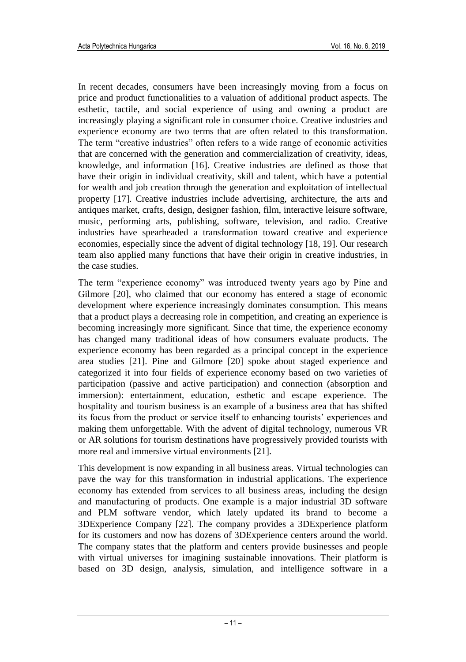In recent decades, consumers have been increasingly moving from a focus on price and product functionalities to a valuation of additional product aspects. The esthetic, tactile, and social experience of using and owning a product are increasingly playing a significant role in consumer choice. Creative industries and experience economy are two terms that are often related to this transformation. The term "creative industries" often refers to a wide range of economic activities that are concerned with the generation and commercialization of creativity, ideas, knowledge, and information [16]. Creative industries are defined as those that have their origin in individual creativity, skill and talent, which have a potential for wealth and job creation through the generation and exploitation of intellectual property [17]. Creative industries include advertising, architecture, the arts and antiques market, crafts, design, designer fashion, film, interactive leisure software, music, performing arts, publishing, software, television, and radio. Creative industries have spearheaded a transformation toward creative and experience economies, especially since the advent of digital technology [18, 19]. Our research team also applied many functions that have their origin in creative industries, in the case studies.

The term "experience economy" was introduced twenty years ago by Pine and Gilmore [20], who claimed that our economy has entered a stage of economic development where experience increasingly dominates consumption. This means that a product plays a decreasing role in competition, and creating an experience is becoming increasingly more significant. Since that time, the experience economy has changed many traditional ideas of how consumers evaluate products. The experience economy has been regarded as a principal concept in the experience area studies [21]. Pine and Gilmore [20] spoke about staged experience and categorized it into four fields of experience economy based on two varieties of participation (passive and active participation) and connection (absorption and immersion): entertainment, education, esthetic and escape experience. The hospitality and tourism business is an example of a business area that has shifted its focus from the product or service itself to enhancing tourists' experiences and making them unforgettable. With the advent of digital technology, numerous VR or AR solutions for tourism destinations have progressively provided tourists with more real and immersive virtual environments [21].

This development is now expanding in all business areas. Virtual technologies can pave the way for this transformation in industrial applications. The experience economy has extended from services to all business areas, including the design and manufacturing of products. One example is a major industrial 3D software and PLM software vendor, which lately updated its brand to become a 3DExperience Company [22]. The company provides a 3DExperience platform for its customers and now has dozens of 3DExperience centers around the world. The company states that the platform and centers provide businesses and people with virtual universes for imagining sustainable innovations. Their platform is based on 3D design, analysis, simulation, and intelligence software in a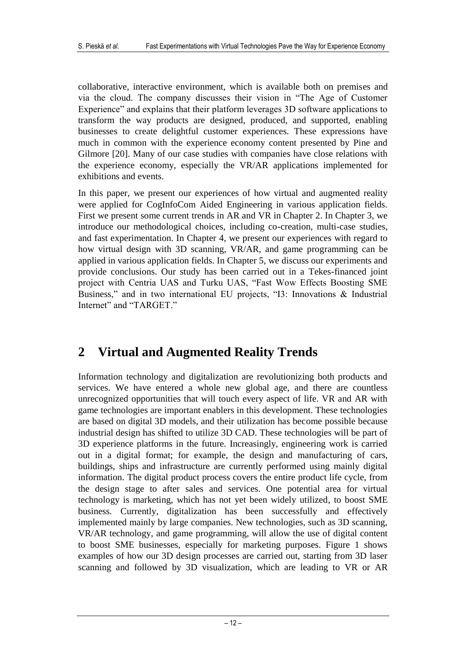collaborative, interactive environment, which is available both on premises and via the cloud. The company discusses their vision in "The Age of Customer Experience" and explains that their platform leverages 3D software applications to transform the way products are designed, produced, and supported, enabling businesses to create delightful customer experiences. These expressions have much in common with the experience economy content presented by Pine and Gilmore [20]. Many of our case studies with companies have close relations with the experience economy, especially the VR/AR applications implemented for exhibitions and events.

In this paper, we present our experiences of how virtual and augmented reality were applied for CogInfoCom Aided Engineering in various application fields. First we present some current trends in AR and VR in Chapter 2. In Chapter 3, we introduce our methodological choices, including co-creation, multi-case studies, and fast experimentation. In Chapter 4, we present our experiences with regard to how virtual design with 3D scanning, VR/AR, and game programming can be applied in various application fields. In Chapter 5, we discuss our experiments and provide conclusions. Our study has been carried out in a Tekes-financed joint project with Centria UAS and Turku UAS, "Fast Wow Effects Boosting SME Business," and in two international EU projects, "I3: Innovations & Industrial Internet" and "TARGET."

## **2 Virtual and Augmented Reality Trends**

Information technology and digitalization are revolutionizing both products and services. We have entered a whole new global age, and there are countless unrecognized opportunities that will touch every aspect of life. VR and AR with game technologies are important enablers in this development. These technologies are based on digital 3D models, and their utilization has become possible because industrial design has shifted to utilize 3D CAD. These technologies will be part of 3D experience platforms in the future. Increasingly, engineering work is carried out in a digital format; for example, the design and manufacturing of cars, buildings, ships and infrastructure are currently performed using mainly digital information. The digital product process covers the entire product life cycle, from the design stage to after sales and services. One potential area for virtual technology is marketing, which has not yet been widely utilized, to boost SME business. Currently, digitalization has been successfully and effectively implemented mainly by large companies. New technologies, such as 3D scanning, VR/AR technology, and game programming, will allow the use of digital content to boost SME businesses, especially for marketing purposes. Figure 1 shows examples of how our 3D design processes are carried out, starting from 3D laser scanning and followed by 3D visualization, which are leading to VR or AR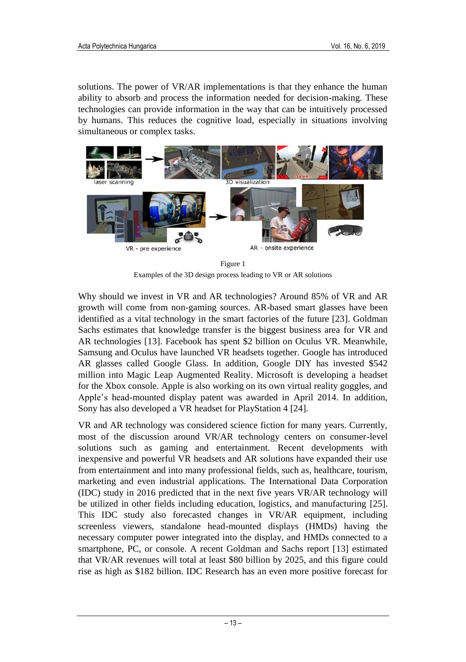solutions. The power of VR/AR implementations is that they enhance the human ability to absorb and process the information needed for decision-making. These technologies can provide information in the way that can be intuitively processed by humans. This reduces the cognitive load, especially in situations involving simultaneous or complex tasks.



Figure 1

Examples of the 3D design process leading to VR or AR solutions

Why should we invest in VR and AR technologies? Around 85% of VR and AR growth will come from non-gaming sources. AR-based smart glasses have been identified as a vital technology in the smart factories of the future [23]. Goldman Sachs estimates that knowledge transfer is the biggest business area for VR and AR technologies [13]. Facebook has spent \$2 billion on Oculus VR. Meanwhile, Samsung and Oculus have launched VR headsets together. Google has introduced AR glasses called Google Glass. In addition, Google DIY has invested \$542 million into Magic Leap Augmented Reality. Microsoft is developing a headset for the Xbox console. Apple is also working on its own virtual reality goggles, and Apple's head-mounted display patent was awarded in April 2014. In addition, Sony has also developed a VR headset for PlayStation 4 [24].

VR and AR technology was considered science fiction for many years. Currently, most of the discussion around VR/AR technology centers on consumer-level solutions such as gaming and entertainment. Recent developments with inexpensive and powerful VR headsets and AR solutions have expanded their use from entertainment and into many professional fields, such as, healthcare, tourism, marketing and even industrial applications. The International Data Corporation (IDC) study in 2016 predicted that in the next five years VR/AR technology will be utilized in other fields including education, logistics, and manufacturing [25]. This IDC study also forecasted changes in VR/AR equipment, including screenless viewers, standalone head-mounted displays (HMDs) having the necessary computer power integrated into the display, and HMDs connected to a smartphone, PC, or console. A recent Goldman and Sachs report [13] estimated that VR/AR revenues will total at least \$80 billion by 2025, and this figure could rise as high as \$182 billion. IDC Research has an even more positive forecast for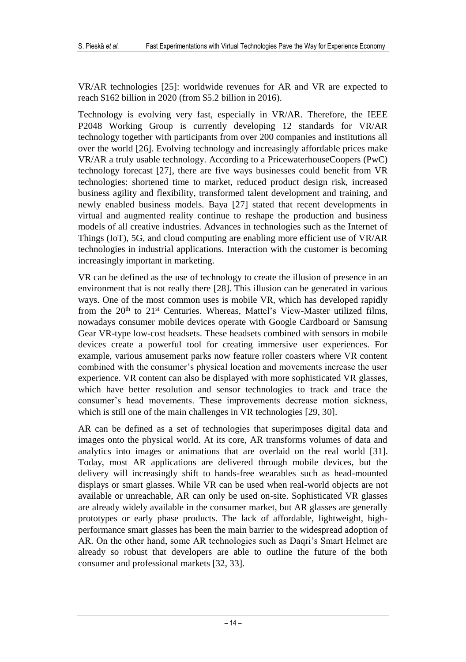VR/AR technologies [25]: worldwide revenues for AR and VR are expected to reach \$162 billion in 2020 (from \$5.2 billion in 2016).

Technology is evolving very fast, especially in VR/AR. Therefore, the IEEE P2048 Working Group is currently developing 12 standards for VR/AR technology together with participants from over 200 companies and institutions all over the world [26]. Evolving technology and increasingly affordable prices make VR/AR a truly usable technology. According to a PricewaterhouseCoopers (PwC) technology forecast [27], there are five ways businesses could benefit from VR technologies: shortened time to market, reduced product design risk, increased business agility and flexibility, transformed talent development and training, and newly enabled business models. Baya [27] stated that recent developments in virtual and augmented reality continue to reshape the production and business models of all creative industries. Advances in technologies such as the Internet of Things (IoT), 5G, and cloud computing are enabling more efficient use of VR/AR technologies in industrial applications. Interaction with the customer is becoming increasingly important in marketing.

VR can be defined as the use of technology to create the illusion of presence in an environment that is not really there [28]. This illusion can be generated in various ways. One of the most common uses is mobile VR, which has developed rapidly from the  $20<sup>th</sup>$  to  $21<sup>st</sup>$  Centuries. Whereas, Mattel's View-Master utilized films, nowadays consumer mobile devices operate with Google Cardboard or Samsung Gear VR-type low-cost headsets. These headsets combined with sensors in mobile devices create a powerful tool for creating immersive user experiences. For example, various amusement parks now feature roller coasters where VR content combined with the consumer's physical location and movements increase the user experience. VR content can also be displayed with more sophisticated VR glasses, which have better resolution and sensor technologies to track and trace the consumer's head movements. These improvements decrease motion sickness, which is still one of the main challenges in VR technologies [29, 30].

AR can be defined as a set of technologies that superimposes digital data and images onto the physical world. At its core, AR transforms volumes of data and analytics into images or animations that are overlaid on the real world [31]. Today, most AR applications are delivered through mobile devices, but the delivery will increasingly shift to hands-free wearables such as head-mounted displays or smart glasses. While VR can be used when real-world objects are not available or unreachable, AR can only be used on-site. Sophisticated VR glasses are already widely available in the consumer market, but AR glasses are generally prototypes or early phase products. The lack of affordable, lightweight, highperformance smart glasses has been the main barrier to the widespread adoption of AR. On the other hand, some AR technologies such as Daqri's Smart Helmet are already so robust that developers are able to outline the future of the both consumer and professional markets [32, 33].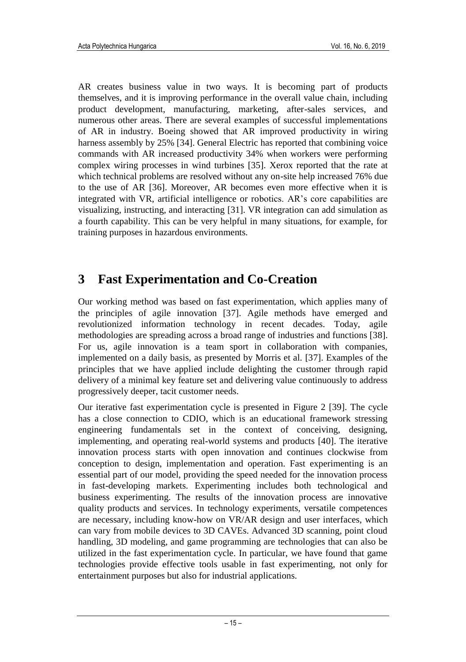AR creates business value in two ways. It is becoming part of products themselves, and it is improving performance in the overall value chain, including product development, manufacturing, marketing, after-sales services, and numerous other areas. There are several examples of successful implementations of AR in industry. Boeing showed that AR improved productivity in wiring harness assembly by 25% [34]. General Electric has reported that combining voice commands with AR increased productivity 34% when workers were performing complex wiring processes in wind turbines [35]. Xerox reported that the rate at which technical problems are resolved without any on-site help increased 76% due to the use of AR [36]. Moreover, AR becomes even more effective when it is integrated with VR, artificial intelligence or robotics. AR's core capabilities are visualizing, instructing, and interacting [31]. VR integration can add simulation as a fourth capability. This can be very helpful in many situations, for example, for training purposes in hazardous environments.

## **3 Fast Experimentation and Co-Creation**

Our working method was based on fast experimentation, which applies many of the principles of agile innovation [37]. Agile methods have emerged and revolutionized information technology in recent decades. Today, agile methodologies are spreading across a broad range of industries and functions [38]. For us, agile innovation is a team sport in collaboration with companies, implemented on a daily basis, as presented by Morris et al. [37]. Examples of the principles that we have applied include delighting the customer through rapid delivery of a minimal key feature set and delivering value continuously to address progressively deeper, tacit customer needs.

Our iterative fast experimentation cycle is presented in Figure 2 [39]. The cycle has a close connection to CDIO, which is an educational framework stressing engineering fundamentals set in the context of conceiving, designing, implementing, and operating real-world systems and products [40]. The iterative innovation process starts with open innovation and continues clockwise from conception to design, implementation and operation. Fast experimenting is an essential part of our model, providing the speed needed for the innovation process in fast-developing markets. Experimenting includes both technological and business experimenting. The results of the innovation process are innovative quality products and services. In technology experiments, versatile competences are necessary, including know-how on VR/AR design and user interfaces, which can vary from mobile devices to 3D CAVEs. Advanced 3D scanning, point cloud handling, 3D modeling, and game programming are technologies that can also be utilized in the fast experimentation cycle. In particular, we have found that game technologies provide effective tools usable in fast experimenting, not only for entertainment purposes but also for industrial applications.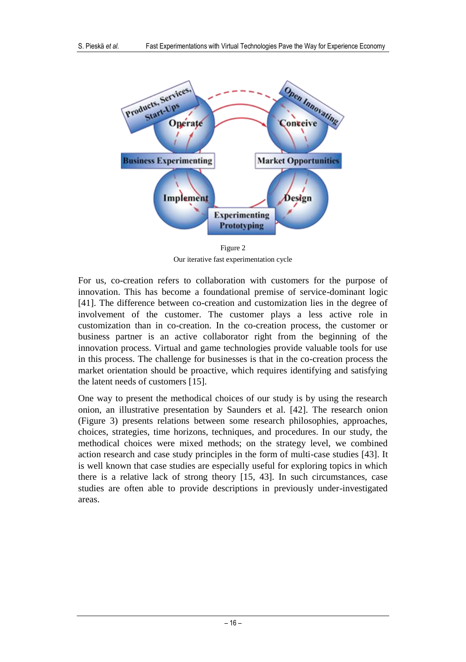

Figure 2 Our iterative fast experimentation cycle

For us, co-creation refers to collaboration with customers for the purpose of innovation. This has become a foundational premise of service-dominant logic [41]. The difference between co-creation and customization lies in the degree of involvement of the customer. The customer plays a less active role in customization than in co-creation. In the co-creation process, the customer or business partner is an active collaborator right from the beginning of the innovation process. Virtual and game technologies provide valuable tools for use in this process. The challenge for businesses is that in the co-creation process the market orientation should be proactive, which requires identifying and satisfying the latent needs of customers [15].

One way to present the methodical choices of our study is by using the research onion, an illustrative presentation by Saunders et al. [42]. The research onion (Figure 3) presents relations between some research philosophies, approaches, choices, strategies, time horizons, techniques, and procedures. In our study, the methodical choices were mixed methods; on the strategy level, we combined action research and case study principles in the form of multi-case studies [43]. It is well known that case studies are especially useful for exploring topics in which there is a relative lack of strong theory [15, 43]. In such circumstances, case studies are often able to provide descriptions in previously under-investigated areas.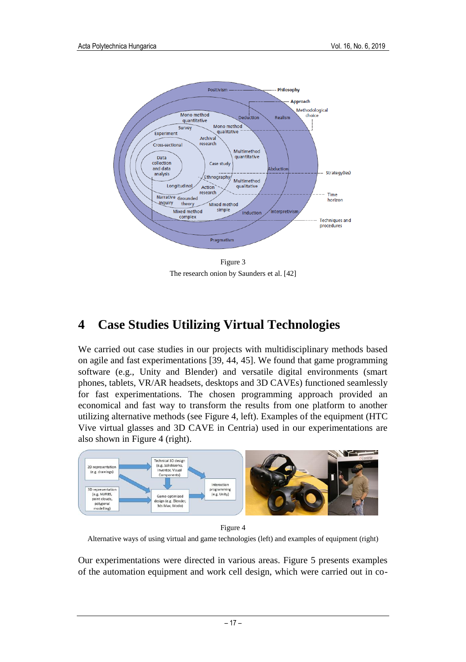

Figure 3 The research onion by Saunders et al. [42]

## **4 Case Studies Utilizing Virtual Technologies**

We carried out case studies in our projects with multidisciplinary methods based on agile and fast experimentations [39, 44, 45]. We found that game programming software (e.g., Unity and Blender) and versatile digital environments (smart phones, tablets, VR/AR headsets, desktops and 3D CAVEs) functioned seamlessly for fast experimentations. The chosen programming approach provided an economical and fast way to transform the results from one platform to another utilizing alternative methods (see Figure 4, left). Examples of the equipment (HTC Vive virtual glasses and 3D CAVE in Centria) used in our experimentations are also shown in Figure 4 (right).



Figure 4

Alternative ways of using virtual and game technologies (left) and examples of equipment (right)

Our experimentations were directed in various areas. Figure 5 presents examples of the automation equipment and work cell design, which were carried out in co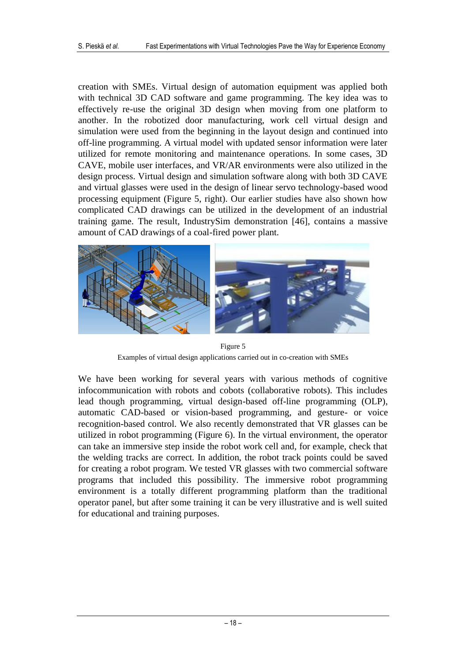creation with SMEs. Virtual design of automation equipment was applied both with technical 3D CAD software and game programming. The key idea was to effectively re-use the original 3D design when moving from one platform to another. In the robotized door manufacturing, work cell virtual design and simulation were used from the beginning in the layout design and continued into off-line programming. A virtual model with updated sensor information were later utilized for remote monitoring and maintenance operations. In some cases, 3D CAVE, mobile user interfaces, and VR/AR environments were also utilized in the design process. Virtual design and simulation software along with both 3D CAVE and virtual glasses were used in the design of linear servo technology-based wood processing equipment (Figure 5, right). Our earlier studies have also shown how complicated CAD drawings can be utilized in the development of an industrial training game. The result, IndustrySim demonstration [46], contains a massive amount of CAD drawings of a coal-fired power plant.



Figure 5 Examples of virtual design applications carried out in co-creation with SMEs

We have been working for several years with various methods of cognitive infocommunication with robots and cobots (collaborative robots). This includes lead though programming, virtual design-based off-line programming (OLP), automatic CAD-based or vision-based programming, and gesture- or voice recognition-based control. We also recently demonstrated that VR glasses can be utilized in robot programming (Figure 6). In the virtual environment, the operator can take an immersive step inside the robot work cell and, for example, check that the welding tracks are correct. In addition, the robot track points could be saved for creating a robot program. We tested VR glasses with two commercial software programs that included this possibility. The immersive robot programming environment is a totally different programming platform than the traditional operator panel, but after some training it can be very illustrative and is well suited for educational and training purposes.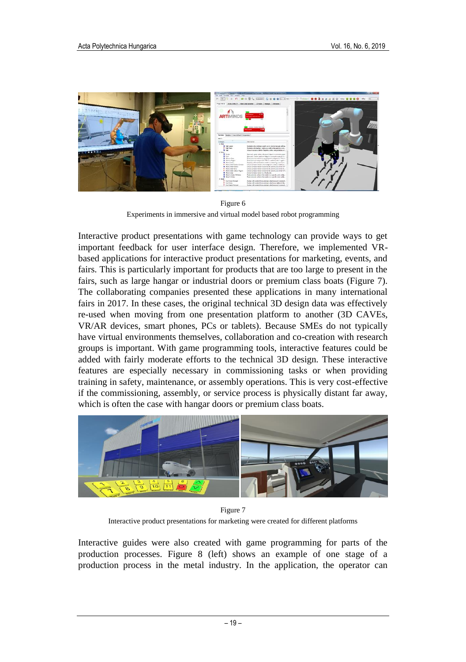

Figure 6 Experiments in immersive and virtual model based robot programming

Interactive product presentations with game technology can provide ways to get important feedback for user interface design. Therefore, we implemented VRbased applications for interactive product presentations for marketing, events, and fairs. This is particularly important for products that are too large to present in the fairs, such as large hangar or industrial doors or premium class boats (Figure 7). The collaborating companies presented these applications in many international fairs in 2017. In these cases, the original technical 3D design data was effectively re-used when moving from one presentation platform to another (3D CAVEs, VR/AR devices, smart phones, PCs or tablets). Because SMEs do not typically have virtual environments themselves, collaboration and co-creation with research groups is important. With game programming tools, interactive features could be added with fairly moderate efforts to the technical 3D design. These interactive features are especially necessary in commissioning tasks or when providing training in safety, maintenance, or assembly operations. This is very cost-effective if the commissioning, assembly, or service process is physically distant far away, which is often the case with hangar doors or premium class boats.



Figure 7 Interactive product presentations for marketing were created for different platforms

Interactive guides were also created with game programming for parts of the production processes. Figure 8 (left) shows an example of one stage of a production process in the metal industry. In the application, the operator can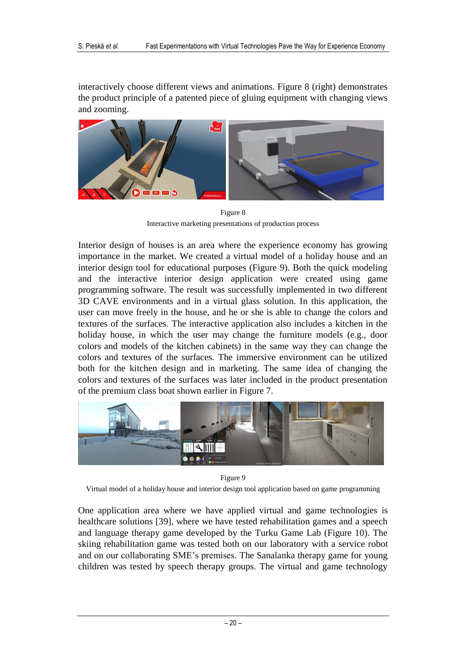interactively choose different views and animations. Figure 8 (right) demonstrates the product principle of a patented piece of gluing equipment with changing views and zooming.



Figure 8 Interactive marketing presentations of production process

Interior design of houses is an area where the experience economy has growing importance in the market. We created a virtual model of a holiday house and an interior design tool for educational purposes (Figure 9). Both the quick modeling and the interactive interior design application were created using game programming software. The result was successfully implemented in two different 3D CAVE environments and in a virtual glass solution. In this application, the user can move freely in the house, and he or she is able to change the colors and textures of the surfaces. The interactive application also includes a kitchen in the holiday house, in which the user may change the furniture models (e.g., door colors and models of the kitchen cabinets) in the same way they can change the colors and textures of the surfaces. The immersive environment can be utilized both for the kitchen design and in marketing. The same idea of changing the colors and textures of the surfaces was later included in the product presentation of the premium class boat shown earlier in Figure 7.



Figure 9

Virtual model of a holiday house and interior design tool application based on game programming

One application area where we have applied virtual and game technologies is healthcare solutions [39], where we have tested rehabilitation games and a speech and language therapy game developed by the Turku Game Lab (Figure 10). The skiing rehabilitation game was tested both on our laboratory with a service robot and on our collaborating SME's premises. The Sanalanka therapy game for young children was tested by speech therapy groups. The virtual and game technology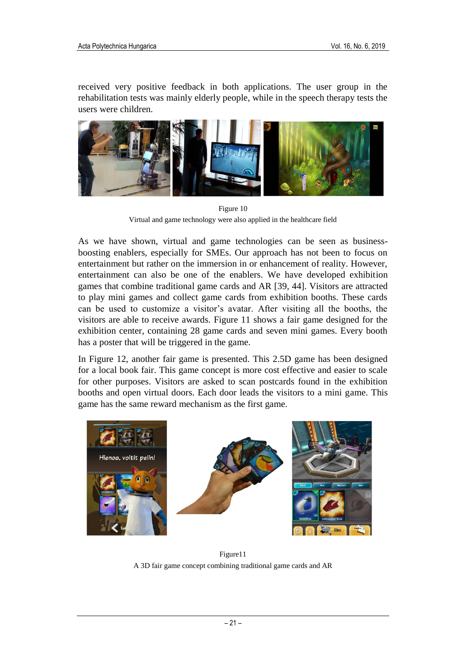received very positive feedback in both applications. The user group in the rehabilitation tests was mainly elderly people, while in the speech therapy tests the users were children.



Figure 10 Virtual and game technology were also applied in the healthcare field

As we have shown, virtual and game technologies can be seen as businessboosting enablers, especially for SMEs. Our approach has not been to focus on entertainment but rather on the immersion in or enhancement of reality. However, entertainment can also be one of the enablers. We have developed exhibition games that combine traditional game cards and AR [39, 44]. Visitors are attracted to play mini games and collect game cards from exhibition booths. These cards can be used to customize a visitor's avatar. After visiting all the booths, the visitors are able to receive awards. Figure 11 shows a fair game designed for the exhibition center, containing 28 game cards and seven mini games. Every booth has a poster that will be triggered in the game.

In Figure 12, another fair game is presented. This 2.5D game has been designed for a local book fair. This game concept is more cost effective and easier to scale for other purposes. Visitors are asked to scan postcards found in the exhibition booths and open virtual doors. Each door leads the visitors to a mini game. This game has the same reward mechanism as the first game.



Figure11 A 3D fair game concept combining traditional game cards and AR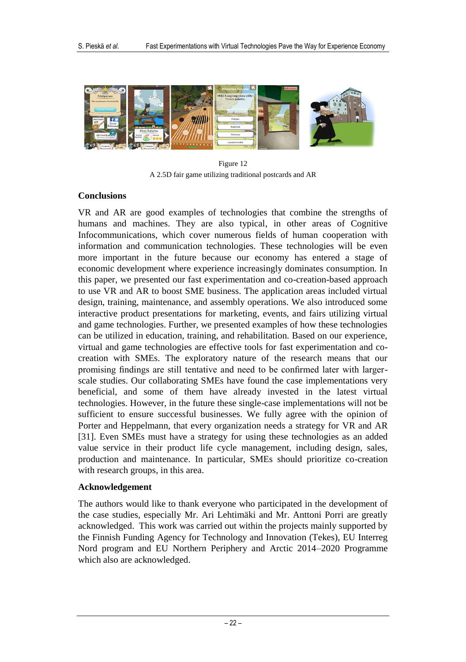

Figure 12 A 2.5D fair game utilizing traditional postcards and AR

### **Conclusions**

VR and AR are good examples of technologies that combine the strengths of humans and machines. They are also typical, in other areas of Cognitive Infocommunications, which cover numerous fields of human cooperation with information and communication technologies. These technologies will be even more important in the future because our economy has entered a stage of economic development where experience increasingly dominates consumption. In this paper, we presented our fast experimentation and co-creation-based approach to use VR and AR to boost SME business. The application areas included virtual design, training, maintenance, and assembly operations. We also introduced some interactive product presentations for marketing, events, and fairs utilizing virtual and game technologies. Further, we presented examples of how these technologies can be utilized in education, training, and rehabilitation. Based on our experience, virtual and game technologies are effective tools for fast experimentation and cocreation with SMEs. The exploratory nature of the research means that our promising findings are still tentative and need to be confirmed later with largerscale studies. Our collaborating SMEs have found the case implementations very beneficial, and some of them have already invested in the latest virtual technologies. However, in the future these single-case implementations will not be sufficient to ensure successful businesses. We fully agree with the opinion of Porter and Heppelmann, that every organization needs a strategy for VR and AR [31]. Even SMEs must have a strategy for using these technologies as an added value service in their product life cycle management, including design, sales, production and maintenance. In particular, SMEs should prioritize co-creation with research groups, in this area.

### **Acknowledgement**

The authors would like to thank everyone who participated in the development of the case studies, especially Mr. Ari Lehtimäki and Mr. Anttoni Porri are greatly acknowledged. This work was carried out within the projects mainly supported by the Finnish Funding Agency for Technology and Innovation (Tekes), EU Interreg Nord program and EU Northern Periphery and Arctic 2014–2020 Programme which also are acknowledged.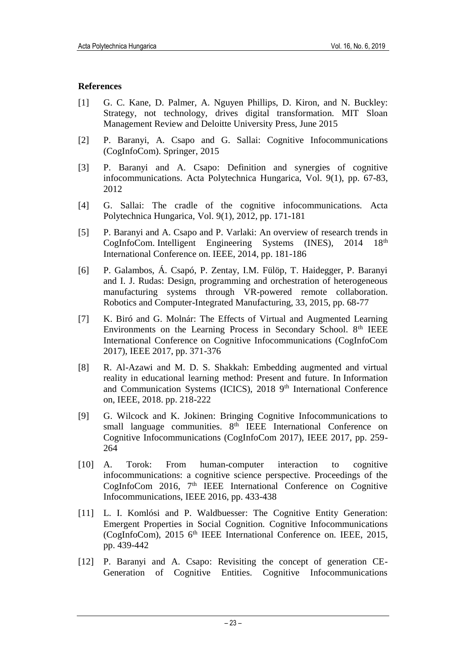#### **References**

- [1] G. C. Kane, D. Palmer, A. Nguyen Phillips, D. Kiron, and N. Buckley: Strategy, not technology, drives digital transformation. MIT Sloan Management Review and Deloitte University Press, June 2015
- [2] P. Baranyi, A. Csapo and G. Sallai: Cognitive Infocommunications (CogInfoCom). Springer, 2015
- [3] P. Baranyi and A. Csapo: Definition and synergies of cognitive infocommunications. Acta Polytechnica Hungarica, Vol. 9(1), pp. 67-83, 2012
- [4] G. Sallai: The cradle of the cognitive infocommunications. Acta Polytechnica Hungarica, Vol. 9(1), 2012, pp. 171-181
- [5] P. Baranyi and A. Csapo and P. Varlaki: An overview of research trends in CogInfoCom. Intelligent Engineering Systems (INES), 2014 18<sup>th</sup> International Conference on. IEEE, 2014, pp. 181-186
- [6] P. Galambos, Á. Csapó, P. Zentay, I.M. Fülöp, T. Haidegger, P. Baranyi and I. J. Rudas: Design, programming and orchestration of heterogeneous manufacturing systems through VR-powered remote collaboration. Robotics and Computer-Integrated Manufacturing, 33, 2015, pp. 68-77
- [7] K. Biró and G. Molnár: The Effects of Virtual and Augmented Learning Environments on the Learning Process in Secondary School. 8<sup>th</sup> IEEE International Conference on Cognitive Infocommunications (CogInfoCom 2017), IEEE 2017, pp. 371-376
- [8] R. Al-Azawi and M. D. S. Shakkah: Embedding augmented and virtual reality in educational learning method: Present and future. In Information and Communication Systems (ICICS), 2018 9<sup>th</sup> International Conference on, IEEE, 2018. pp. 218-222
- [9] G. Wilcock and K. Jokinen: Bringing Cognitive Infocommunications to small language communities. 8<sup>th</sup> IEEE International Conference on Cognitive Infocommunications (CogInfoCom 2017), IEEE 2017, pp. 259- 264
- [10] A. Torok: From human-computer interaction to cognitive infocommunications: a cognitive science perspective. Proceedings of the CogInfoCom 2016, 7<sup>th</sup> IEEE International Conference on Cognitive Infocommunications, IEEE 2016, pp. 433-438
- [11] L. I. Komlósi and P. Waldbuesser: The Cognitive Entity Generation: Emergent Properties in Social Cognition. Cognitive Infocommunications (CogInfoCom), 2015 6<sup>th</sup> IEEE International Conference on. IEEE, 2015, pp. 439-442
- [12] P. Baranyi and A. Csapo: Revisiting the concept of generation CE-Generation of Cognitive Entities. Cognitive Infocommunications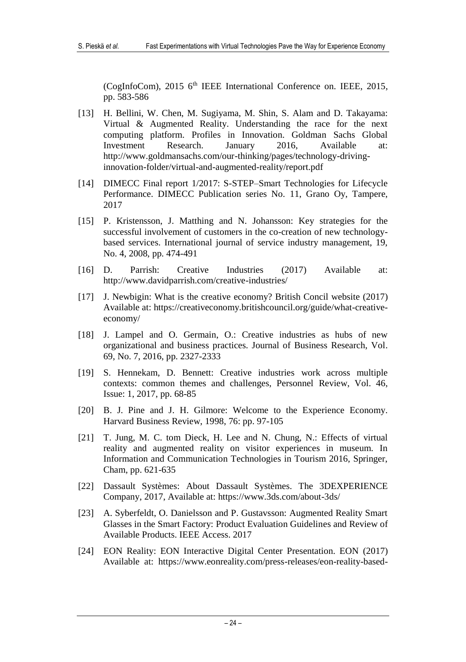(CogInfoCom), 2015 6<sup>th</sup> IEEE International Conference on. IEEE, 2015, pp. 583-586

- [13] H. Bellini, W. Chen, M. Sugiyama, M. Shin, S. Alam and D. Takayama: Virtual & Augmented Reality. Understanding the race for the next computing platform. Profiles in Innovation. Goldman Sachs Global Investment Research. January 2016, Available at: http://www.goldmansachs.com/our-thinking/pages/technology-drivinginnovation-folder/virtual-and-augmented-reality/report.pdf
- [14] DIMECC Final report 1/2017: S-STEP–Smart Technologies for Lifecycle Performance. DIMECC Publication series No. 11, Grano Oy, Tampere, 2017
- [15] P. Kristensson, J. Matthing and N. Johansson: Key strategies for the successful involvement of customers in the co-creation of new technologybased services. International journal of service industry management, 19, No. 4, 2008, pp. 474-491
- [16] D. Parrish: Creative Industries (2017) Available at: http://www.davidparrish.com/creative-industries/
- [17] J. Newbigin: What is the creative economy? British Concil website (2017) Available at: https://creativeconomy.britishcouncil.org/guide/what-creativeeconomy/
- [18] J. Lampel and O. Germain, O.: Creative industries as hubs of new organizational and business practices. Journal of Business Research, Vol. 69, No. 7, 2016, pp. 2327-2333
- [19] S. Hennekam, D. Bennett: Creative industries work across multiple contexts: common themes and challenges, Personnel Review, Vol. 46, Issue: 1, 2017, pp. 68-85
- [20] B. J. Pine and J. H. Gilmore: Welcome to the Experience Economy. Harvard Business Review, 1998, 76: pp. 97-105
- [21] T. Jung, M. C. tom Dieck, H. Lee and N. Chung, N.: Effects of virtual reality and augmented reality on visitor experiences in museum. In Information and Communication Technologies in Tourism 2016, Springer, Cham, pp. 621-635
- [22] Dassault Systèmes: About Dassault Systèmes. The 3DEXPERIENCE Company, 2017, Available at:<https://www.3ds.com/about-3ds/>
- [23] A. Syberfeldt, O. Danielsson and P. Gustavsson: Augmented Reality Smart Glasses in the Smart Factory: Product Evaluation Guidelines and Review of Available Products. IEEE Access. 2017
- [24] EON Reality: EON Interactive Digital Center Presentation. EON (2017) Available at: https://www.eonreality.com/press-releases/eon-reality-based-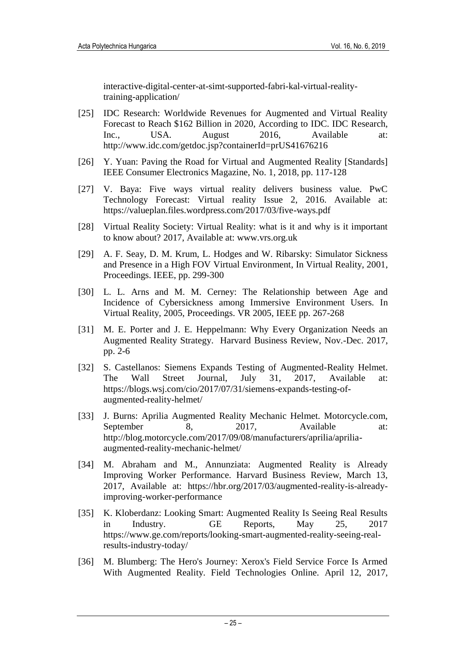interactive-digital-center-at-simt-supported-fabri-kal-virtual-realitytraining-application/

- [25] IDC Research: Worldwide Revenues for Augmented and Virtual Reality Forecast to Reach \$162 Billion in 2020, According to IDC. IDC Research, Inc., USA. August 2016, Available at: http://www.idc.com/getdoc.jsp?containerId=prUS41676216
- [26] Y. Yuan: Paving the Road for Virtual and Augmented Reality [Standards] IEEE Consumer Electronics Magazine, No. 1, 2018, pp. 117-128
- [27] V. Baya: Five ways virtual reality delivers business value. PwC Technology Forecast: Virtual reality Issue 2, 2016. Available at: https://valueplan.files.wordpress.com/2017/03/five-ways.pdf
- [28] Virtual Reality Society: Virtual Reality: what is it and why is it important to know about? 2017, Available at: www.vrs.org.uk
- [29] A. F. Seay, D. M. Krum, L. Hodges and W. Ribarsky: Simulator Sickness and Presence in a High FOV Virtual Environment, In Virtual Reality, 2001, Proceedings. IEEE, pp. 299-300
- [30] L. L. Arns and M. M. Cerney: The Relationship between Age and Incidence of Cybersickness among Immersive Environment Users. In Virtual Reality, 2005, Proceedings. VR 2005, IEEE pp. 267-268
- [31] M. E. Porter and J. E. Heppelmann: Why Every Organization Needs an Augmented Reality Strategy. Harvard Business Review, Nov.-Dec. 2017, pp. 2-6
- [32] S. Castellanos: Siemens Expands Testing of Augmented-Reality Helmet. The Wall Street Journal, July 31, 2017, Available at: https://blogs.wsj.com/cio/2017/07/31/siemens-expands-testing-ofaugmented-reality-helmet/
- [33] J. Burns: Aprilia Augmented Reality Mechanic Helmet. Motorcycle.com, September 8, 2017, Available at: http://blog.motorcycle.com/2017/09/08/manufacturers/aprilia/apriliaaugmented-reality-mechanic-helmet/
- [34] M. Abraham and M., Annunziata: Augmented Reality is Already Improving Worker Performance. Harvard Business Review, March 13, 2017, Available at: https://hbr.org/2017/03/augmented-reality-is-alreadyimproving-worker-performance
- [35] K. Kloberdanz: Looking Smart: Augmented Reality Is Seeing Real Results in Industry. GE Reports, May 25, 2017 https://www.ge.com/reports/looking-smart-augmented-reality-seeing-realresults-industry-today/
- [36] M. Blumberg: The Hero's Journey: Xerox's Field Service Force Is Armed With Augmented Reality. Field Technologies Online. April 12, 2017,